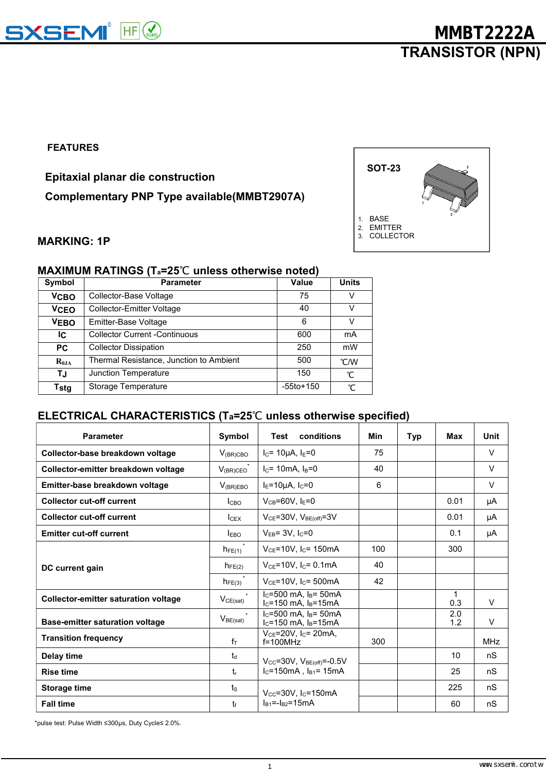

#### **FEATURES**

**Epitaxial planar die construction**

**Complementary PNP Type available(MMBT2907A)**



#### **MARKING: 1P**

### **MAXIMUM RATINGS (Ta=25**℃ **unless otherwise noted)**

| Symbol      | <b>Parameter</b>                        | Value     | <b>Units</b> |
|-------------|-----------------------------------------|-----------|--------------|
| <b>VCBO</b> | Collector-Base Voltage                  | 75        | v            |
| <b>VCEO</b> | Collector-Emitter Voltage               | 40        | v            |
| <b>VEBO</b> | Emitter-Base Voltage                    | 6         | v            |
| IC.         | <b>Collector Current -Continuous</b>    | 600       | mA           |
| PC.         | <b>Collector Dissipation</b>            | 250       | mW           |
| $R_{0JA}$   | Thermal Resistance, Junction to Ambient | 500       | °C/W         |
| ΤJ          | Junction Temperature                    | 150       | °С           |
| Tstg        | Storage Temperature                     | -55to+150 | °С           |

### **ELECTRICAL CHARACTERISTICS (Ta=25**℃ **unless otherwise specified)**

| <b>Parameter</b>                            | Symbol             | conditions<br>Test                                             | <b>Min</b> | <b>Typ</b> | Max                 | <b>Unit</b> |
|---------------------------------------------|--------------------|----------------------------------------------------------------|------------|------------|---------------------|-------------|
| Collector-base breakdown voltage            | $V_{\rm (BR) CBO}$ | $I_c = 10 \mu A$ , $I_E = 0$                                   | 75         |            |                     | V           |
| Collector-emitter breakdown voltage         | $V_{\rm (BR)CEO}$  | $I_c = 10mA, I_B = 0$                                          | 40         |            |                     | V           |
| Emitter-base breakdown voltage              | $V_{(BR)EBO}$      | $IE=10\mu A, IC=0$                                             | 6          |            |                     | V           |
| <b>Collector cut-off current</b>            | I <sub>CBO</sub>   | $V_{CB} = 60V$ , $I_E = 0$                                     |            |            | 0.01                | μA          |
| <b>Collector cut-off current</b>            | $I_{CEX}$          | $V_{CE} = 30V$ , $V_{BE(off)} = 3V$                            |            |            | 0.01                | μA          |
| <b>Emitter cut-off current</b>              | $I_{EBO}$          | $V_{EB} = 3V$ , $I_C = 0$                                      |            |            | 0.1                 | μA          |
|                                             | $h_{FE(1)}$        | $V_{CE}$ =10V, I <sub>C</sub> = 150mA                          | 100        |            | 300                 |             |
| DC current gain                             | $h_{FE(2)}$        | $V_{CE}$ =10V, $I_C$ = 0.1mA                                   | 40         |            |                     |             |
|                                             | $h_{FE(3)}$        | $V_{CE}$ =10V, I <sub>C</sub> =500mA                           | 42         |            |                     |             |
| <b>Collector-emitter saturation voltage</b> | $V_{CE(sat)}$      | $I_c = 500$ mA, $I_B = 50$ mA<br>$I_C = 150$ mA, $I_B = 15$ mA |            |            | $\mathbf{1}$<br>0.3 | V           |
| <b>Base-emitter saturation voltage</b>      | $V_{BE(sat)}$      | $I_c = 500$ mA, $I_B = 50$ mA<br>$I_c = 150$ mA, $I_B = 15$ mA |            |            | 2.0<br>1.2          | $\vee$      |
| <b>Transition frequency</b>                 | $f_T$              | $V_{CE} = 20V$ , I <sub>C</sub> = 20mA,<br>$f = 100$ MHz       | 300        |            |                     | <b>MHz</b>  |
| Delay time                                  | $t_d$              | $V_{CC} = 30V$ , $V_{BE(off)} = -0.5V$                         |            |            | 10                  | nS          |
| <b>Rise time</b>                            | $t_{r}$            | $I_c = 150mA$ , $I_{B1} = 15mA$                                |            |            | 25                  | nS          |
| <b>Storage time</b>                         | $t_{\rm S}$        | $V_{\text{cc}}$ =30V, I <sub>c</sub> =150mA                    |            |            | 225                 | nS          |
| <b>Fall time</b>                            | tr                 | $I_{B1}=-I_{B2}=15mA$                                          |            |            | 60                  | nS          |

\*pulse test: Pulse Width ≤300μs, Duty Cycle≤ 2.0%.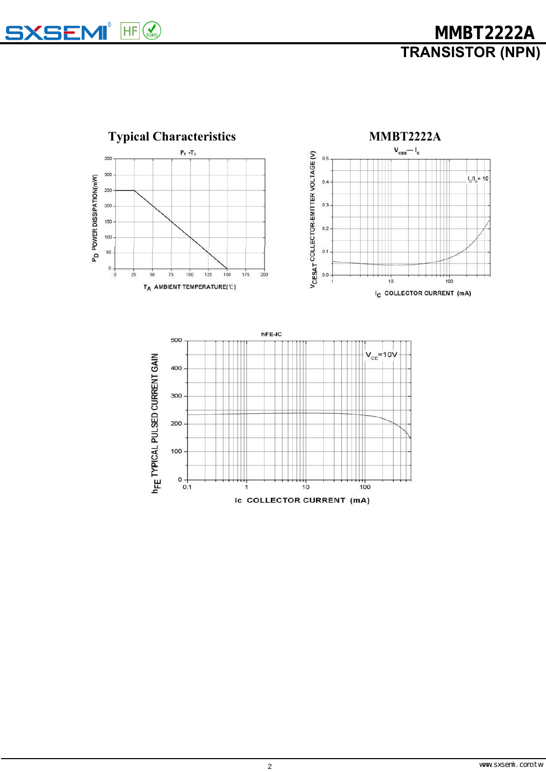**SXSEMI** HF

**TRANSISTOR (NPN) MMBT2222A**

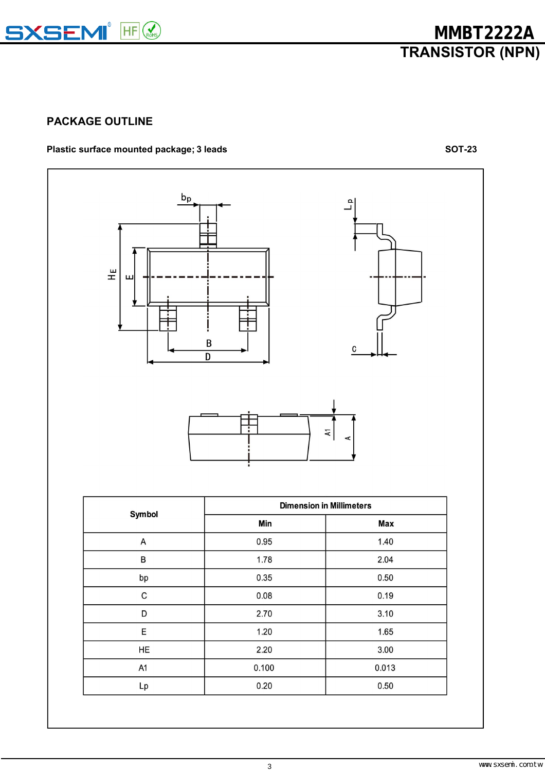

# **PACKAGE OUTLINE**

## **Plastic surface mounted package; 3 leads SOT-23**



| Min   | <b>Max</b> |  |  |
|-------|------------|--|--|
| 0.95  | 1.40       |  |  |
| 1.78  | 2.04       |  |  |
| 0.35  | 0.50       |  |  |
| 0.08  | 0.19       |  |  |
| 2.70  | 3.10       |  |  |
| 1.20  | 1.65       |  |  |
| 2.20  | 3.00       |  |  |
| 0.100 | 0.013      |  |  |
| 0.20  | 0.50       |  |  |
|       |            |  |  |